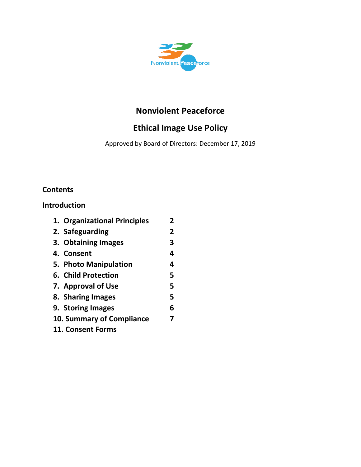

# **Nonviolent Peaceforce**

# **Ethical Image Use Policy**

Approved by Board of Directors: December 17, 2019

# **Contents**

## **Introduction**

|                   | 1. Organizational Principles | 2 |
|-------------------|------------------------------|---|
|                   | 2. Safeguarding              | 2 |
|                   | 3. Obtaining Images          | 3 |
|                   | 4. Consent                   | 4 |
|                   | 5. Photo Manipulation        | 4 |
|                   | 6. Child Protection          | 5 |
|                   | 7. Approval of Use           | 5 |
|                   | 8. Sharing Images            | 5 |
|                   | 9. Storing Images            | 6 |
|                   | 10. Summary of Compliance    | 7 |
| 11. Consent Forms |                              |   |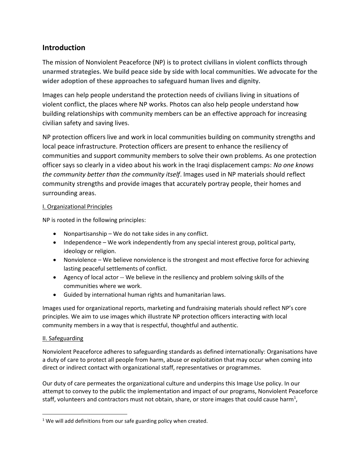## **Introduction**

The mission of Nonviolent Peaceforce (NP) is **to protect civilians in violent conflicts through unarmed strategies. We build peace side by side with local communities. We advocate for the wider adoption of these approaches to safeguard human lives and dignity.**

Images can help people understand the protection needs of civilians living in situations of violent conflict, the places where NP works. Photos can also help people understand how building relationships with community members can be an effective approach for increasing civilian safety and saving lives.

NP protection officers live and work in local communities building on community strengths and local peace infrastructure. Protection officers are present to enhance the resiliency of communities and support community members to solve their own problems. As one protection officer says so clearly in a video about his work in the Iraqi displacement camps: *No one knows the community better than the community itself*. Images used in NP materials should reflect community strengths and provide images that accurately portray people, their homes and surrounding areas.

### I. Organizational Principles

NP is rooted in the following principles:

- Nonpartisanship We do not take sides in any conflict.
- Independence We work independently from any special interest group, political party, ideology or religion.
- Nonviolence We believe nonviolence is the strongest and most effective force for achieving lasting peaceful settlements of conflict.
- Agency of local actor -- We believe in the resiliency and problem solving skills of the communities where we work.
- Guided by international human rights and humanitarian laws.

Images used for organizational reports, marketing and fundraising materials should reflect NP's core principles. We aim to use images which illustrate NP protection officers interacting with local community members in a way that is respectful, thoughtful and authentic.

## II. Safeguarding

 $\overline{\phantom{a}}$ 

Nonviolent Peaceforce adheres to safeguarding standards as defined internationally: Organisations have a duty of care to protect all people from harm, abuse or exploitation that may occur when coming into direct or indirect contact with organizational staff, representatives or programmes.

Our duty of care permeates the organizational culture and underpins this Image Use policy. In our attempt to convey to the public the implementation and impact of our programs, Nonviolent Peaceforce staff, volunteers and contractors must not obtain, share, or store images that could cause harm<sup>1</sup>,

 $1$  We will add definitions from our safe guarding policy when created.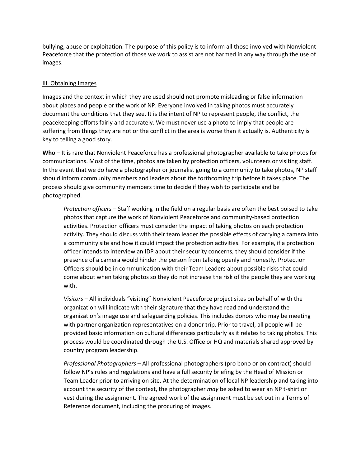bullying, abuse or exploitation. The purpose of this policy is to inform all those involved with Nonviolent Peaceforce that the protection of those we work to assist are not harmed in any way through the use of images.

#### III. Obtaining Images

Images and the context in which they are used should not promote misleading or false information about places and people or the work of NP. Everyone involved in taking photos must accurately document the conditions that they see. It is the intent of NP to represent people, the conflict, the peacekeeping efforts fairly and accurately. We must never use a photo to imply that people are suffering from things they are not or the conflict in the area is worse than it actually is. Authenticity is key to telling a good story.

**Who** – It is rare that Nonviolent Peaceforce has a professional photographer available to take photos for communications. Most of the time, photos are taken by protection officers, volunteers or visiting staff. In the event that we do have a photographer or journalist going to a community to take photos, NP staff should inform community members and leaders about the forthcoming trip before it takes place. The process should give community members time to decide if they wish to participate and be photographed.

*Protection officers* – Staff working in the field on a regular basis are often the best poised to take photos that capture the work of Nonviolent Peaceforce and community-based protection activities. Protection officers must consider the impact of taking photos on each protection activity. They should discuss with their team leader the possible effects of carrying a camera into a community site and how it could impact the protection activities. For example, if a protection officer intends to interview an IDP about their security concerns, they should consider if the presence of a camera would hinder the person from talking openly and honestly. Protection Officers should be in communication with their Team Leaders about possible risks that could come about when taking photos so they do not increase the risk of the people they are working with.

*Visitors* – All individuals "visiting" Nonviolent Peaceforce project sites on behalf of with the organization will indicate with their signature that they have read and understand the organization's image use and safeguarding policies. This includes donors who may be meeting with partner organization representatives on a donor trip. Prior to travel, all people will be provided basic information on cultural differences particularly as it relates to taking photos. This process would be coordinated through the U.S. Office or HQ and materials shared approved by country program leadership.

*Professional Photographers* – All professional photographers (pro bono or on contract) should follow NP's rules and regulations and have a full security briefing by the Head of Mission or Team Leader prior to arriving on site. At the determination of local NP leadership and taking into account the security of the context, the photographer *may* be asked to wear an NP t-shirt or vest during the assignment. The agreed work of the assignment must be set out in a Terms of Reference document, including the procuring of images.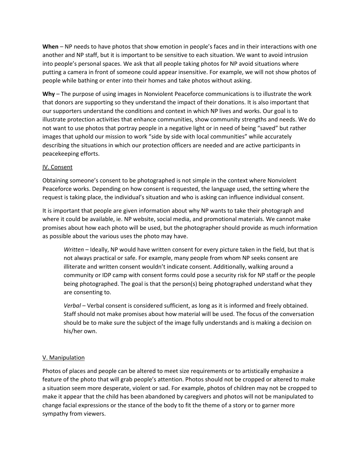**When** – NP needs to have photos that show emotion in people's faces and in their interactions with one another and NP staff, but it is important to be sensitive to each situation. We want to avoid intrusion into people's personal spaces. We ask that all people taking photos for NP avoid situations where putting a camera in front of someone could appear insensitive. For example, we will not show photos of people while bathing or enter into their homes and take photos without asking.

**Why** – The purpose of using images in Nonviolent Peaceforce communications is to illustrate the work that donors are supporting so they understand the impact of their donations. It is also important that our supporters understand the conditions and context in which NP lives and works. Our goal is to illustrate protection activities that enhance communities, show community strengths and needs. We do not want to use photos that portray people in a negative light or in need of being "saved" but rather images that uphold our mission to work "side by side with local communities" while accurately describing the situations in which our protection officers are needed and are active participants in peacekeeping efforts.

#### IV. Consent

Obtaining someone's consent to be photographed is not simple in the context where Nonviolent Peaceforce works. Depending on how consent is requested, the language used, the setting where the request is taking place, the individual's situation and who is asking can influence individual consent.

It is important that people are given information about why NP wants to take their photograph and where it could be available, ie. NP website, social media, and promotional materials. We cannot make promises about how each photo will be used, but the photographer should provide as much information as possible about the various uses the photo may have.

*Written* – Ideally, NP would have written consent for every picture taken in the field, but that is not always practical or safe. For example, many people from whom NP seeks consent are illiterate and written consent wouldn't indicate consent. Additionally, walking around a community or IDP camp with consent forms could pose a security risk for NP staff or the people being photographed. The goal is that the person(s) being photographed understand what they are consenting to.

*Verbal* – Verbal consent is considered sufficient, as long as it is informed and freely obtained. Staff should not make promises about how material will be used. The focus of the conversation should be to make sure the subject of the image fully understands and is making a decision on his/her own.

### V. Manipulation

Photos of places and people can be altered to meet size requirements or to artistically emphasize a feature of the photo that will grab people's attention. Photos should not be cropped or altered to make a situation seem more desperate, violent or sad. For example, photos of children may not be cropped to make it appear that the child has been abandoned by caregivers and photos will not be manipulated to change facial expressions or the stance of the body to fit the theme of a story or to garner more sympathy from viewers.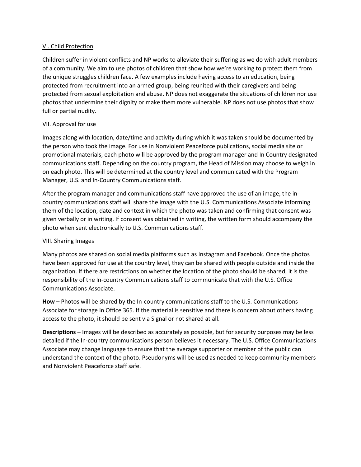#### VI. Child Protection

Children suffer in violent conflicts and NP works to alleviate their suffering as we do with adult members of a community. We aim to use photos of children that show how we're working to protect them from the unique struggles children face. A few examples include having access to an education, being protected from recruitment into an armed group, being reunited with their caregivers and being protected from sexual exploitation and abuse. NP does not exaggerate the situations of children nor use photos that undermine their dignity or make them more vulnerable. NP does not use photos that show full or partial nudity.

#### VII. Approval for use

Images along with location, date/time and activity during which it was taken should be documented by the person who took the image. For use in Nonviolent Peaceforce publications, social media site or promotional materials, each photo will be approved by the program manager and In Country designated communications staff. Depending on the country program, the Head of Mission may choose to weigh in on each photo. This will be determined at the country level and communicated with the Program Manager, U.S. and In-Country Communications staff.

After the program manager and communications staff have approved the use of an image, the incountry communications staff will share the image with the U.S. Communications Associate informing them of the location, date and context in which the photo was taken and confirming that consent was given verbally or in writing. If consent was obtained in writing, the written form should accompany the photo when sent electronically to U.S. Communications staff.

#### VIII. Sharing Images

Many photos are shared on social media platforms such as Instagram and Facebook. Once the photos have been approved for use at the country level, they can be shared with people outside and inside the organization. If there are restrictions on whether the location of the photo should be shared, it is the responsibility of the In-country Communications staff to communicate that with the U.S. Office Communications Associate.

**How** – Photos will be shared by the In-country communications staff to the U.S. Communications Associate for storage in Office 365. If the material is sensitive and there is concern about others having access to the photo, it should be sent via Signal or not shared at all.

**Descriptions** – Images will be described as accurately as possible, but for security purposes may be less detailed if the In-country communications person believes it necessary. The U.S. Office Communications Associate may change language to ensure that the average supporter or member of the public can understand the context of the photo. Pseudonyms will be used as needed to keep community members and Nonviolent Peaceforce staff safe.